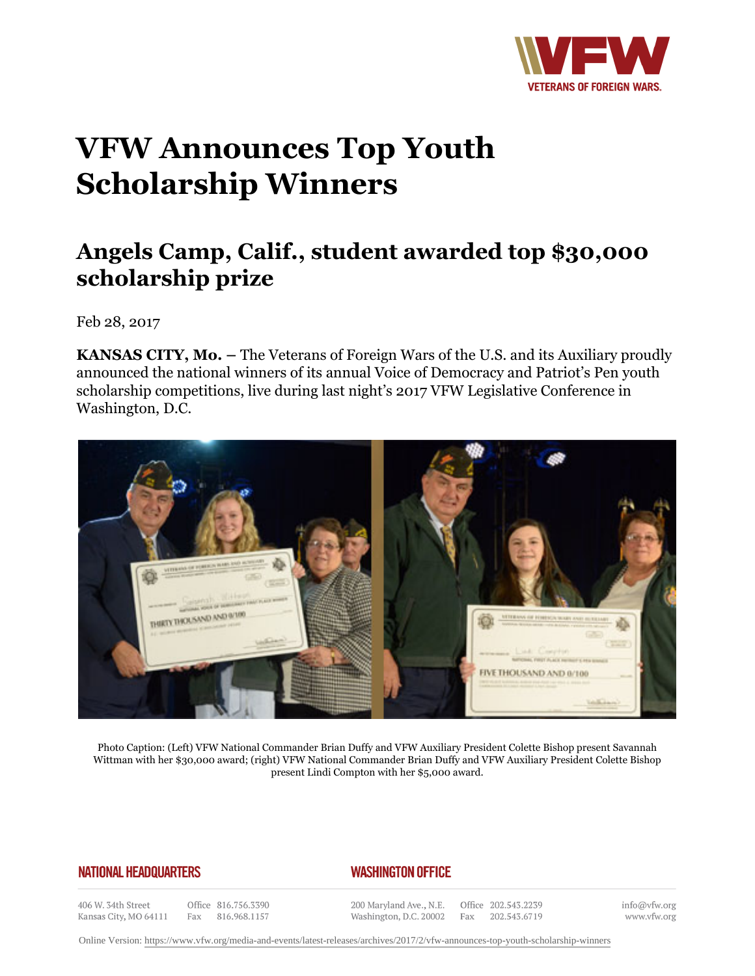

## **VFW Announces Top Youth Scholarship Winners**

## **Angels Camp, Calif., student awarded top \$30,000 scholarship prize**

Feb 28, 2017

**KANSAS CITY, Mo.** – The Veterans of Foreign Wars of the U.S. and its Auxiliary proudly announced the national winners of its annual Voice of Democracy and Patriot's Pen youth scholarship competitions, live during last night's 2017 VFW Legislative Conference in Washington, D.C.



Photo Caption: (Left) VFW National Commander Brian Duffy and VFW Auxiliary President Colette Bishop present Savannah Wittman with her \$30,000 award; (right) VFW National Commander Brian Duffy and VFW Auxiliary President Colette Bishop present Lindi Compton with her \$5,000 award.

## **NATIONAL HEADQUARTERS**

## *WASHINGTON OFFICE*

406 W. 34th Street Kansas City, MO 64111

Office 816.756.3390 Fax 816.968.1157

200 Maryland Ave., N.E. Washington, D.C. 20002 Fax

Office 202.543.2239 202.543.6719

info@vfw.org www.vfw.org

Online Version:<https://www.vfw.org/media-and-events/latest-releases/archives/2017/2/vfw-announces-top-youth-scholarship-winners>